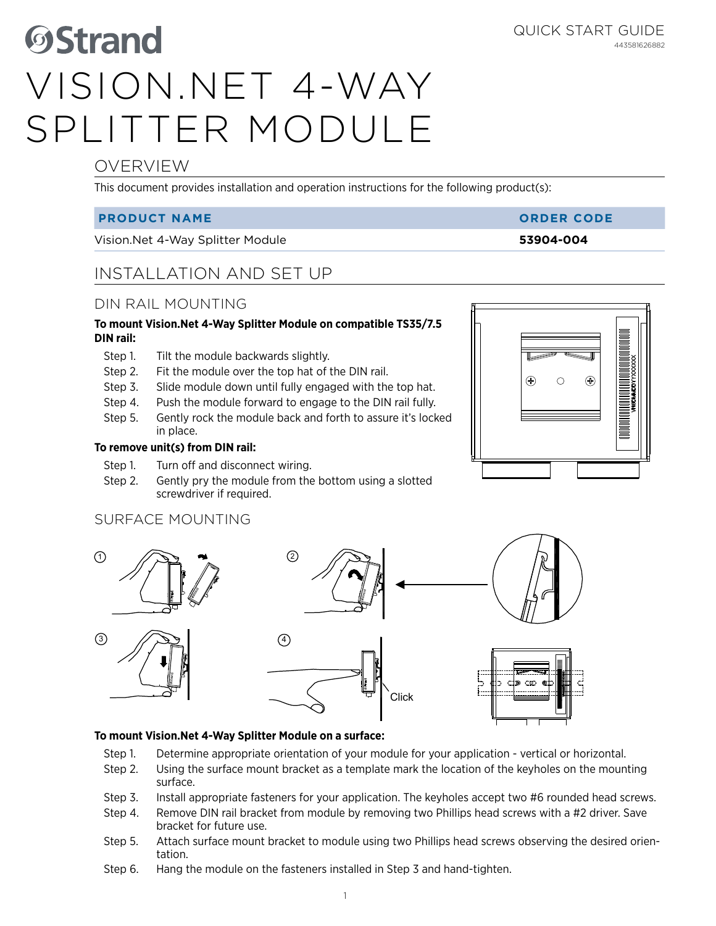# **OStrand** Vision.Net 4-Way Splitter Module

# OVERVIEW

This document provides installation and operation instructions for the following product(s):

## **PRODUCT NAME ORDER CODE**

Vision.Net 4-Way Splitter Module **53904-004**

# INSTALLATION AND SET UP

# DIN RAIL MOUNTING

#### **To mount Vision.Net 4-Way Splitter Module on compatible TS35/7.5 DIN rail:**

- Step 1. Tilt the module backwards slightly.
- Step 2. Fit the module over the top hat of the DIN rail.
- Step 3. Slide module down until fully engaged with the top hat.
- Step 4. Push the module forward to engage to the DIN rail fully.
- Step 5. Gently rock the module back and forth to assure it's locked in place.

### **To remove unit(s) from DIN rail:**

- Step 1. Turn off and disconnect wiring.
- Step 2. Gently pry the module from the bottom using a slotted screwdriver if required.

# SURFACE MOUNTING



### **To mount Vision.Net 4-Way Splitter Module on a surface:**

- Step 1. Determine appropriate orientation of your module for your application vertical or horizontal.
- Step 2. Using the surface mount bracket as a template mark the location of the keyholes on the mounting surface.
- Step 3. Install appropriate fasteners for your application. The keyholes accept two #6 rounded head screws.
- Step 4. Remove DIN rail bracket from module by removing two Phillips head screws with a #2 driver. Save bracket for future use.
- Step 5. Attach surface mount bracket to module using two Phillips head screws observing the desired orientation.
- Step 6. Hang the module on the fasteners installed in Step 3 and hand-tighten.